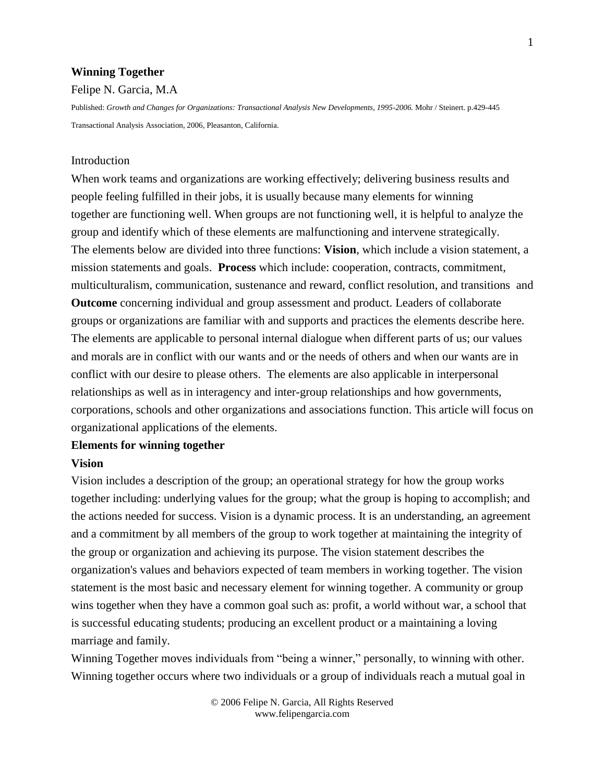#### **Winning Together**

#### Felipe N. Garcia, M.A

Published: *Growth and Changes for Organizations: Transactional Analysis New Developments, 1995-2006.* Mohr / Steinert. p.429-445 Transactional Analysis Association, 2006, Pleasanton, California.

### **Introduction**

When work teams and organizations are working effectively; delivering business results and people feeling fulfilled in their jobs, it is usually because many elements for winning together are functioning well. When groups are not functioning well, it is helpful to analyze the group and identify which of these elements are malfunctioning and intervene strategically. The elements below are divided into three functions: **Vision**, which include a vision statement, a mission statements and goals. **Process** which include: cooperation, contracts, commitment, multiculturalism, communication, sustenance and reward, conflict resolution, and transitions and **Outcome** concerning individual and group assessment and product. Leaders of collaborate groups or organizations are familiar with and supports and practices the elements describe here. The elements are applicable to personal internal dialogue when different parts of us; our values and morals are in conflict with our wants and or the needs of others and when our wants are in conflict with our desire to please others. The elements are also applicable in interpersonal relationships as well as in interagency and inter-group relationships and how governments, corporations, schools and other organizations and associations function. This article will focus on organizational applications of the elements.

### **Elements for winning together**

#### **Vision**

Vision includes a description of the group; an operational strategy for how the group works together including: underlying values for the group; what the group is hoping to accomplish; and the actions needed for success. Vision is a dynamic process. It is an understanding, an agreement and a commitment by all members of the group to work together at maintaining the integrity of the group or organization and achieving its purpose. The vision statement describes the organization's values and behaviors expected of team members in working together. The vision statement is the most basic and necessary element for winning together. A community or group wins together when they have a common goal such as: profit, a world without war, a school that is successful educating students; producing an excellent product or a maintaining a loving marriage and family.

Winning Together moves individuals from "being a winner," personally, to winning with other. Winning together occurs where two individuals or a group of individuals reach a mutual goal in

> © 2006 Felipe N. Garcia, All Rights Reserved www.felipengarcia.com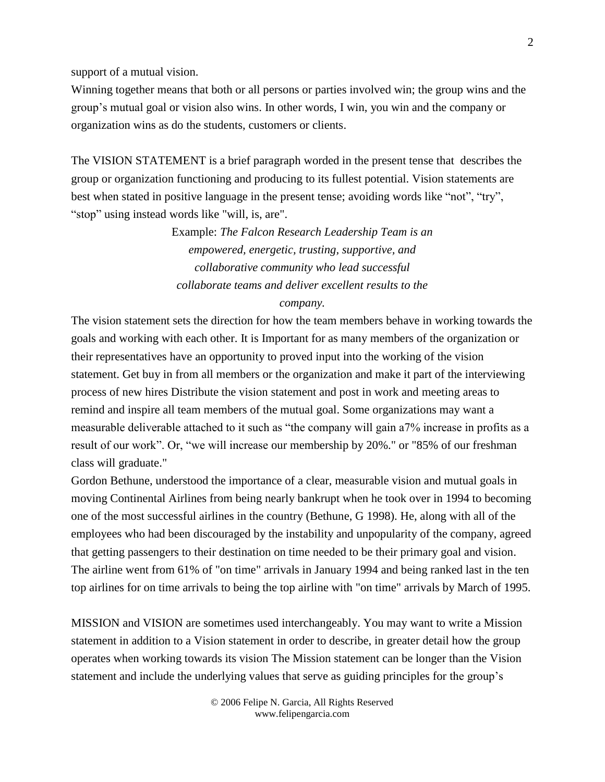support of a mutual vision.

Winning together means that both or all persons or parties involved win; the group wins and the group's mutual goal or vision also wins. In other words, I win, you win and the company or organization wins as do the students, customers or clients.

The VISION STATEMENT is a brief paragraph worded in the present tense that describes the group or organization functioning and producing to its fullest potential. Vision statements are best when stated in positive language in the present tense; avoiding words like "not", "try", "stop" using instead words like "will, is, are".

> Example: *The Falcon Research Leadership Team is an empowered, energetic, trusting, supportive, and collaborative community who lead successful collaborate teams and deliver excellent results to the*

# *company.*

The vision statement sets the direction for how the team members behave in working towards the goals and working with each other. It is Important for as many members of the organization or their representatives have an opportunity to proved input into the working of the vision statement. Get buy in from all members or the organization and make it part of the interviewing process of new hires Distribute the vision statement and post in work and meeting areas to remind and inspire all team members of the mutual goal. Some organizations may want a measurable deliverable attached to it such as "the company will gain a7% increase in profits as a result of our work". Or, "we will increase our membership by 20%." or "85% of our freshman class will graduate."

Gordon Bethune, understood the importance of a clear, measurable vision and mutual goals in moving Continental Airlines from being nearly bankrupt when he took over in 1994 to becoming one of the most successful airlines in the country (Bethune, G 1998). He, along with all of the employees who had been discouraged by the instability and unpopularity of the company, agreed that getting passengers to their destination on time needed to be their primary goal and vision. The airline went from 61% of "on time" arrivals in January 1994 and being ranked last in the ten top airlines for on time arrivals to being the top airline with "on time" arrivals by March of 1995.

MISSION and VISION are sometimes used interchangeably. You may want to write a Mission statement in addition to a Vision statement in order to describe, in greater detail how the group operates when working towards its vision The Mission statement can be longer than the Vision statement and include the underlying values that serve as guiding principles for the group's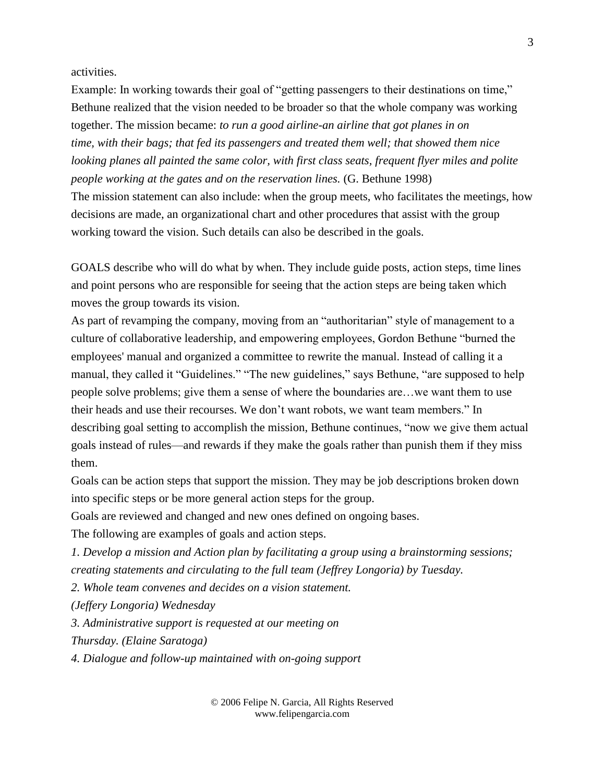activities.

Example: In working towards their goal of "getting passengers to their destinations on time," Bethune realized that the vision needed to be broader so that the whole company was working together. The mission became: *to run a good airline-an airline that got planes in on time, with their bags; that fed its passengers and treated them well; that showed them nice looking planes all painted the same color, with first class seats, frequent flyer miles and polite people working at the gates and on the reservation lines.* (G. Bethune 1998) The mission statement can also include: when the group meets, who facilitates the meetings, how decisions are made, an organizational chart and other procedures that assist with the group working toward the vision. Such details can also be described in the goals.

GOALS describe who will do what by when. They include guide posts, action steps, time lines and point persons who are responsible for seeing that the action steps are being taken which moves the group towards its vision.

As part of revamping the company, moving from an "authoritarian" style of management to a culture of collaborative leadership, and empowering employees, Gordon Bethune "burned the employees' manual and organized a committee to rewrite the manual. Instead of calling it a manual, they called it "Guidelines." "The new guidelines," says Bethune, "are supposed to help people solve problems; give them a sense of where the boundaries are…we want them to use their heads and use their recourses. We don't want robots, we want team members." In describing goal setting to accomplish the mission, Bethune continues, "now we give them actual goals instead of rules—and rewards if they make the goals rather than punish them if they miss them.

Goals can be action steps that support the mission. They may be job descriptions broken down into specific steps or be more general action steps for the group.

Goals are reviewed and changed and new ones defined on ongoing bases.

The following are examples of goals and action steps.

*1. Develop a mission and Action plan by facilitating a group using a brainstorming sessions; creating statements and circulating to the full team (Jeffrey Longoria) by Tuesday.*

*2. Whole team convenes and decides on a vision statement.*

*(Jeffery Longoria) Wednesday*

*3. Administrative support is requested at our meeting on*

*Thursday. (Elaine Saratoga)*

*4. Dialogue and follow-up maintained with on-going support*

© 2006 Felipe N. Garcia, All Rights Reserved www.felipengarcia.com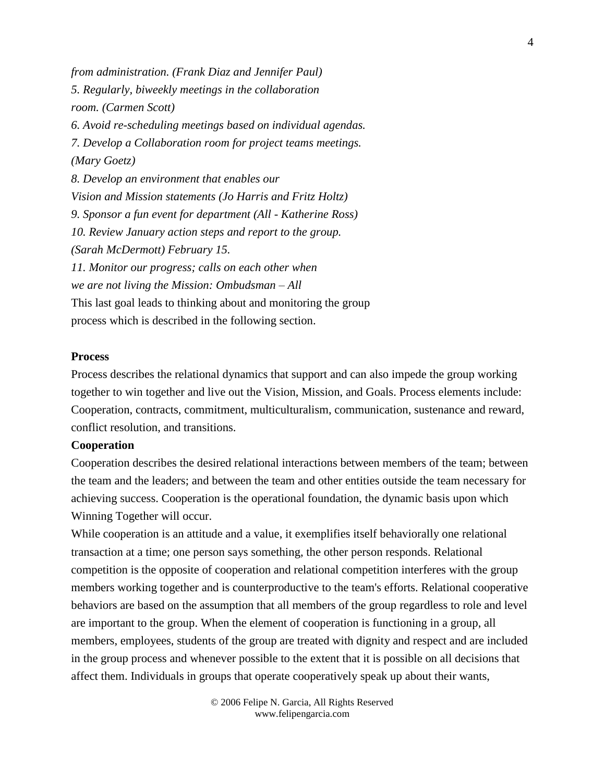*from administration. (Frank Diaz and Jennifer Paul) 5. Regularly, biweekly meetings in the collaboration room. (Carmen Scott) 6. Avoid re-scheduling meetings based on individual agendas. 7. Develop a Collaboration room for project teams meetings. (Mary Goetz) 8. Develop an environment that enables our Vision and Mission statements (Jo Harris and Fritz Holtz) 9. Sponsor a fun event for department (All - Katherine Ross) 10. Review January action steps and report to the group. (Sarah McDermott) February 15. 11. Monitor our progress; calls on each other when we are not living the Mission: Ombudsman – All* This last goal leads to thinking about and monitoring the group process which is described in the following section.

#### **Process**

Process describes the relational dynamics that support and can also impede the group working together to win together and live out the Vision, Mission, and Goals. Process elements include: Cooperation, contracts, commitment, multiculturalism, communication, sustenance and reward, conflict resolution, and transitions.

# **Cooperation**

Cooperation describes the desired relational interactions between members of the team; between the team and the leaders; and between the team and other entities outside the team necessary for achieving success. Cooperation is the operational foundation, the dynamic basis upon which Winning Together will occur.

While cooperation is an attitude and a value, it exemplifies itself behaviorally one relational transaction at a time; one person says something, the other person responds. Relational competition is the opposite of cooperation and relational competition interferes with the group members working together and is counterproductive to the team's efforts. Relational cooperative behaviors are based on the assumption that all members of the group regardless to role and level are important to the group. When the element of cooperation is functioning in a group, all members, employees, students of the group are treated with dignity and respect and are included in the group process and whenever possible to the extent that it is possible on all decisions that affect them. Individuals in groups that operate cooperatively speak up about their wants,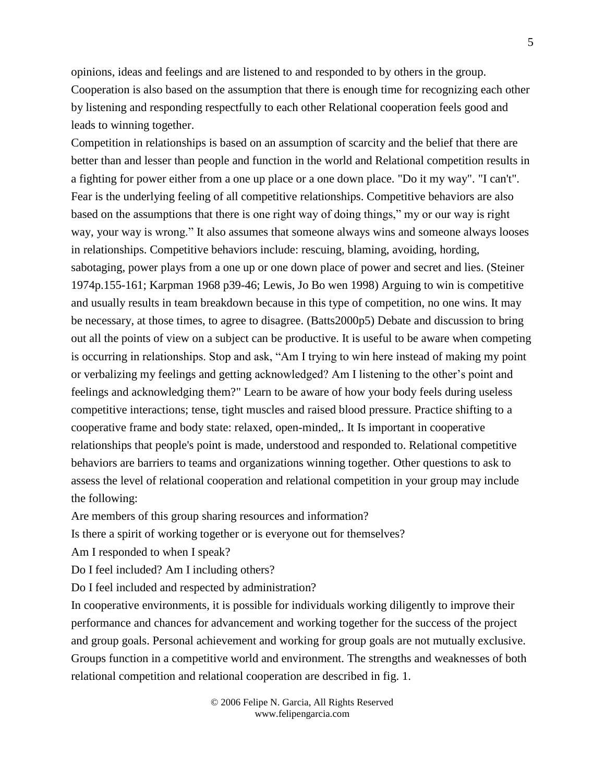opinions, ideas and feelings and are listened to and responded to by others in the group. Cooperation is also based on the assumption that there is enough time for recognizing each other by listening and responding respectfully to each other Relational cooperation feels good and leads to winning together.

Competition in relationships is based on an assumption of scarcity and the belief that there are better than and lesser than people and function in the world and Relational competition results in a fighting for power either from a one up place or a one down place. "Do it my way". "I can't". Fear is the underlying feeling of all competitive relationships. Competitive behaviors are also based on the assumptions that there is one right way of doing things," my or our way is right way, your way is wrong." It also assumes that someone always wins and someone always looses in relationships. Competitive behaviors include: rescuing, blaming, avoiding, hording, sabotaging, power plays from a one up or one down place of power and secret and lies. (Steiner 1974p.155-161; Karpman 1968 p39-46; Lewis, Jo Bo wen 1998) Arguing to win is competitive and usually results in team breakdown because in this type of competition, no one wins. It may be necessary, at those times, to agree to disagree. (Batts2000p5) Debate and discussion to bring out all the points of view on a subject can be productive. It is useful to be aware when competing is occurring in relationships. Stop and ask, "Am I trying to win here instead of making my point or verbalizing my feelings and getting acknowledged? Am I listening to the other's point and feelings and acknowledging them?" Learn to be aware of how your body feels during useless competitive interactions; tense, tight muscles and raised blood pressure. Practice shifting to a cooperative frame and body state: relaxed, open-minded,. It Is important in cooperative relationships that people's point is made, understood and responded to. Relational competitive behaviors are barriers to teams and organizations winning together. Other questions to ask to assess the level of relational cooperation and relational competition in your group may include the following:

Are members of this group sharing resources and information?

Is there a spirit of working together or is everyone out for themselves?

Am I responded to when I speak?

Do I feel included? Am I including others?

Do I feel included and respected by administration?

In cooperative environments, it is possible for individuals working diligently to improve their performance and chances for advancement and working together for the success of the project and group goals. Personal achievement and working for group goals are not mutually exclusive. Groups function in a competitive world and environment. The strengths and weaknesses of both relational competition and relational cooperation are described in fig. 1.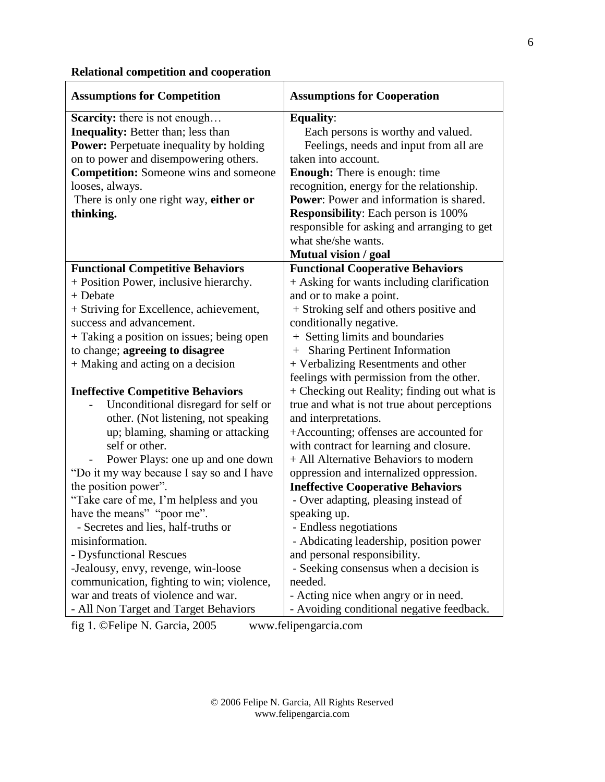# **Relational competition and cooperation**

| <b>Assumptions for Competition</b>             | <b>Assumptions for Cooperation</b>             |
|------------------------------------------------|------------------------------------------------|
| <b>Scarcity:</b> there is not enough           | <b>Equality:</b>                               |
| <b>Inequality:</b> Better than; less than      | Each persons is worthy and valued.             |
| <b>Power:</b> Perpetuate inequality by holding | Feelings, needs and input from all are         |
| on to power and disempowering others.          | taken into account.                            |
| <b>Competition:</b> Someone wins and someone   | <b>Enough:</b> There is enough: time           |
| looses, always.                                | recognition, energy for the relationship.      |
| There is only one right way, either or         | <b>Power:</b> Power and information is shared. |
| thinking.                                      | <b>Responsibility:</b> Each person is 100%     |
|                                                | responsible for asking and arranging to get    |
|                                                | what she/she wants.                            |
|                                                | Mutual vision / goal                           |
| <b>Functional Competitive Behaviors</b>        | <b>Functional Cooperative Behaviors</b>        |
| + Position Power, inclusive hierarchy.         | + Asking for wants including clarification     |
| + Debate                                       | and or to make a point.                        |
| + Striving for Excellence, achievement,        | + Stroking self and others positive and        |
| success and advancement.                       | conditionally negative.                        |
| + Taking a position on issues; being open      | + Setting limits and boundaries                |
| to change; agreeing to disagree                | + Sharing Pertinent Information                |
| + Making and acting on a decision              | + Verbalizing Resentments and other            |
|                                                | feelings with permission from the other.       |
| <b>Ineffective Competitive Behaviors</b>       | + Checking out Reality; finding out what is    |
| Unconditional disregard for self or            | true and what is not true about perceptions    |
| other. (Not listening, not speaking            | and interpretations.                           |
| up; blaming, shaming or attacking              | +Accounting; offenses are accounted for        |
| self or other.                                 | with contract for learning and closure.        |
| Power Plays: one up and one down               | + All Alternative Behaviors to modern          |
| "Do it my way because I say so and I have      | oppression and internalized oppression.        |
| the position power".                           | <b>Ineffective Cooperative Behaviors</b>       |
| "Take care of me, I'm helpless and you         | - Over adapting, pleasing instead of           |
| have the means" "poor me".                     | speaking up.                                   |
| - Secretes and lies, half-truths or            | - Endless negotiations                         |
| misinformation.                                | - Abdicating leadership, position power        |
| - Dysfunctional Rescues                        | and personal responsibility.                   |
| -Jealousy, envy, revenge, win-loose            | - Seeking consensus when a decision is         |
| communication, fighting to win; violence,      | needed.                                        |
| war and treats of violence and war.            | - Acting nice when angry or in need.           |
| - All Non Target and Target Behaviors          | - Avoiding conditional negative feedback.      |

fig 1. ©Felipe N. Garcia, 2005 www.felipengarcia.com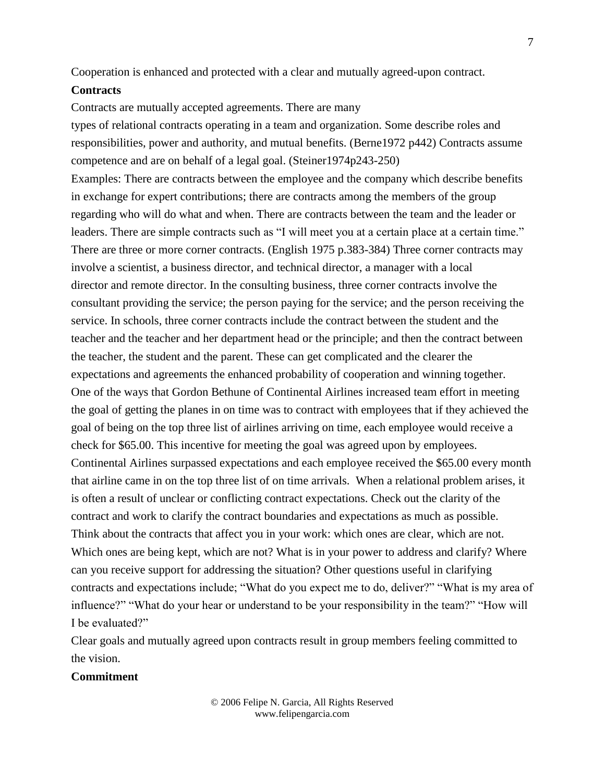Cooperation is enhanced and protected with a clear and mutually agreed-upon contract.

#### **Contracts**

Contracts are mutually accepted agreements. There are many

types of relational contracts operating in a team and organization. Some describe roles and responsibilities, power and authority, and mutual benefits. (Berne1972 p442) Contracts assume competence and are on behalf of a legal goal. (Steiner1974p243-250) Examples: There are contracts between the employee and the company which describe benefits in exchange for expert contributions; there are contracts among the members of the group regarding who will do what and when. There are contracts between the team and the leader or leaders. There are simple contracts such as "I will meet you at a certain place at a certain time." There are three or more corner contracts. (English 1975 p.383-384) Three corner contracts may involve a scientist, a business director, and technical director, a manager with a local director and remote director. In the consulting business, three corner contracts involve the consultant providing the service; the person paying for the service; and the person receiving the service. In schools, three corner contracts include the contract between the student and the teacher and the teacher and her department head or the principle; and then the contract between the teacher, the student and the parent. These can get complicated and the clearer the expectations and agreements the enhanced probability of cooperation and winning together. One of the ways that Gordon Bethune of Continental Airlines increased team effort in meeting the goal of getting the planes in on time was to contract with employees that if they achieved the goal of being on the top three list of airlines arriving on time, each employee would receive a check for \$65.00. This incentive for meeting the goal was agreed upon by employees. Continental Airlines surpassed expectations and each employee received the \$65.00 every month that airline came in on the top three list of on time arrivals. When a relational problem arises, it is often a result of unclear or conflicting contract expectations. Check out the clarity of the contract and work to clarify the contract boundaries and expectations as much as possible. Think about the contracts that affect you in your work: which ones are clear, which are not. Which ones are being kept, which are not? What is in your power to address and clarify? Where can you receive support for addressing the situation? Other questions useful in clarifying contracts and expectations include; "What do you expect me to do, deliver?" "What is my area of influence?" "What do your hear or understand to be your responsibility in the team?" "How will I be evaluated?"

Clear goals and mutually agreed upon contracts result in group members feeling committed to the vision.

## **Commitment**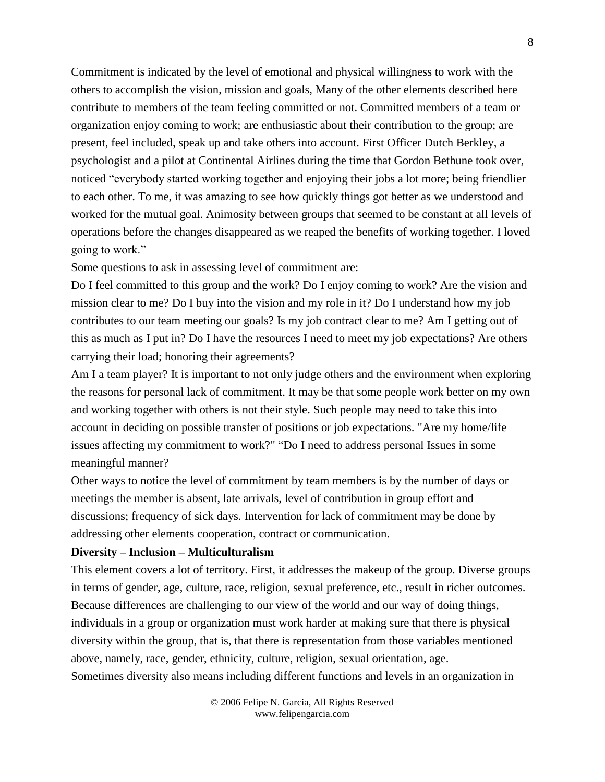Commitment is indicated by the level of emotional and physical willingness to work with the others to accomplish the vision, mission and goals, Many of the other elements described here contribute to members of the team feeling committed or not. Committed members of a team or organization enjoy coming to work; are enthusiastic about their contribution to the group; are present, feel included, speak up and take others into account. First Officer Dutch Berkley, a psychologist and a pilot at Continental Airlines during the time that Gordon Bethune took over, noticed "everybody started working together and enjoying their jobs a lot more; being friendlier to each other. To me, it was amazing to see how quickly things got better as we understood and worked for the mutual goal. Animosity between groups that seemed to be constant at all levels of operations before the changes disappeared as we reaped the benefits of working together. I loved going to work."

Some questions to ask in assessing level of commitment are:

Do I feel committed to this group and the work? Do I enjoy coming to work? Are the vision and mission clear to me? Do I buy into the vision and my role in it? Do I understand how my job contributes to our team meeting our goals? Is my job contract clear to me? Am I getting out of this as much as I put in? Do I have the resources I need to meet my job expectations? Are others carrying their load; honoring their agreements?

Am I a team player? It is important to not only judge others and the environment when exploring the reasons for personal lack of commitment. It may be that some people work better on my own and working together with others is not their style. Such people may need to take this into account in deciding on possible transfer of positions or job expectations. "Are my home/life issues affecting my commitment to work?" "Do I need to address personal Issues in some meaningful manner?

Other ways to notice the level of commitment by team members is by the number of days or meetings the member is absent, late arrivals, level of contribution in group effort and discussions; frequency of sick days. Intervention for lack of commitment may be done by addressing other elements cooperation, contract or communication.

# **Diversity – Inclusion – Multiculturalism**

This element covers a lot of territory. First, it addresses the makeup of the group. Diverse groups in terms of gender, age, culture, race, religion, sexual preference, etc., result in richer outcomes. Because differences are challenging to our view of the world and our way of doing things, individuals in a group or organization must work harder at making sure that there is physical diversity within the group, that is, that there is representation from those variables mentioned above, namely, race, gender, ethnicity, culture, religion, sexual orientation, age. Sometimes diversity also means including different functions and levels in an organization in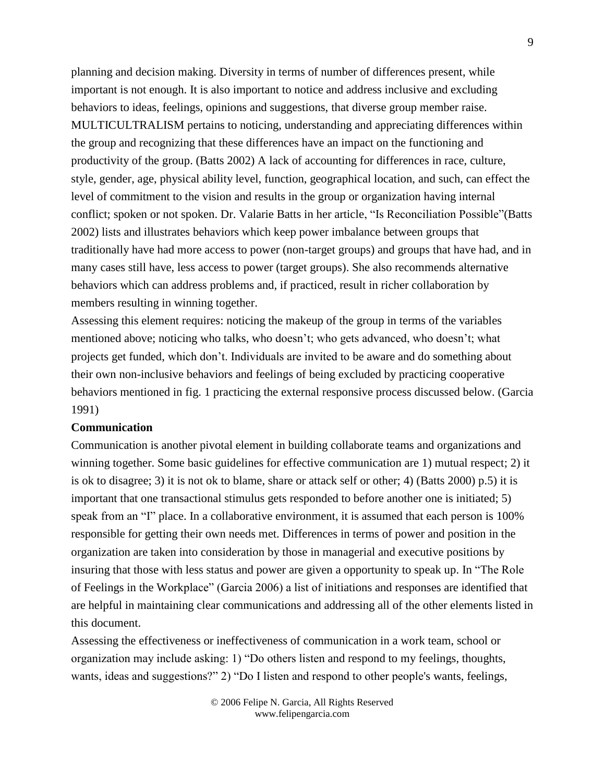planning and decision making. Diversity in terms of number of differences present, while important is not enough. It is also important to notice and address inclusive and excluding behaviors to ideas, feelings, opinions and suggestions, that diverse group member raise. MULTICULTRALISM pertains to noticing, understanding and appreciating differences within the group and recognizing that these differences have an impact on the functioning and productivity of the group. (Batts 2002) A lack of accounting for differences in race, culture, style, gender, age, physical ability level, function, geographical location, and such, can effect the level of commitment to the vision and results in the group or organization having internal conflict; spoken or not spoken. Dr. Valarie Batts in her article, "Is Reconciliation Possible"(Batts 2002) lists and illustrates behaviors which keep power imbalance between groups that traditionally have had more access to power (non-target groups) and groups that have had, and in many cases still have, less access to power (target groups). She also recommends alternative behaviors which can address problems and, if practiced, result in richer collaboration by members resulting in winning together.

Assessing this element requires: noticing the makeup of the group in terms of the variables mentioned above; noticing who talks, who doesn't; who gets advanced, who doesn't; what projects get funded, which don't. Individuals are invited to be aware and do something about their own non-inclusive behaviors and feelings of being excluded by practicing cooperative behaviors mentioned in fig. 1 practicing the external responsive process discussed below. (Garcia 1991)

#### **Communication**

Communication is another pivotal element in building collaborate teams and organizations and winning together. Some basic guidelines for effective communication are 1) mutual respect; 2) it is ok to disagree; 3) it is not ok to blame, share or attack self or other; 4) (Batts 2000) p.5) it is important that one transactional stimulus gets responded to before another one is initiated; 5) speak from an "I" place. In a collaborative environment, it is assumed that each person is 100% responsible for getting their own needs met. Differences in terms of power and position in the organization are taken into consideration by those in managerial and executive positions by insuring that those with less status and power are given a opportunity to speak up. In "The Role of Feelings in the Workplace" (Garcia 2006) a list of initiations and responses are identified that are helpful in maintaining clear communications and addressing all of the other elements listed in this document.

Assessing the effectiveness or ineffectiveness of communication in a work team, school or organization may include asking: 1) "Do others listen and respond to my feelings, thoughts, wants, ideas and suggestions?" 2) "Do I listen and respond to other people's wants, feelings,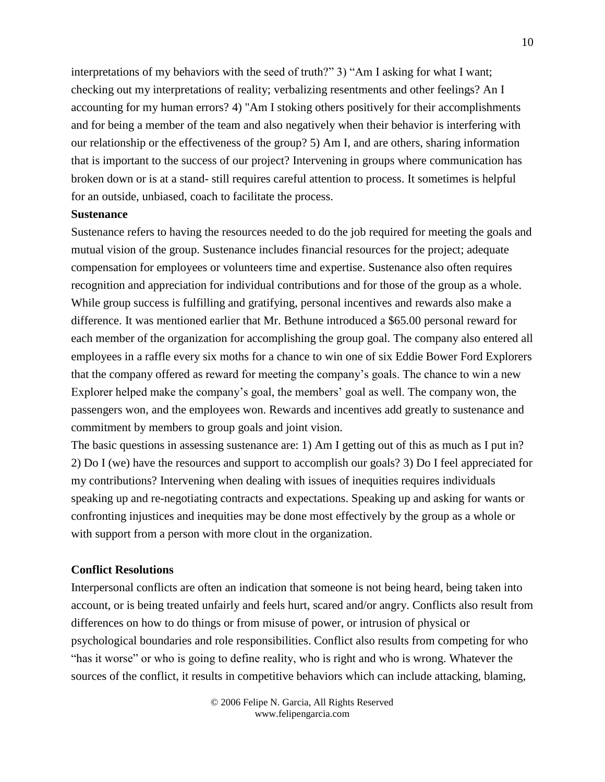interpretations of my behaviors with the seed of truth?" 3) "Am I asking for what I want; checking out my interpretations of reality; verbalizing resentments and other feelings? An I accounting for my human errors? 4) "Am I stoking others positively for their accomplishments and for being a member of the team and also negatively when their behavior is interfering with our relationship or the effectiveness of the group? 5) Am I, and are others, sharing information that is important to the success of our project? Intervening in groups where communication has broken down or is at a stand- still requires careful attention to process. It sometimes is helpful for an outside, unbiased, coach to facilitate the process.

### **Sustenance**

Sustenance refers to having the resources needed to do the job required for meeting the goals and mutual vision of the group. Sustenance includes financial resources for the project; adequate compensation for employees or volunteers time and expertise. Sustenance also often requires recognition and appreciation for individual contributions and for those of the group as a whole. While group success is fulfilling and gratifying, personal incentives and rewards also make a difference. It was mentioned earlier that Mr. Bethune introduced a \$65.00 personal reward for each member of the organization for accomplishing the group goal. The company also entered all employees in a raffle every six moths for a chance to win one of six Eddie Bower Ford Explorers that the company offered as reward for meeting the company's goals. The chance to win a new Explorer helped make the company's goal, the members' goal as well. The company won, the passengers won, and the employees won. Rewards and incentives add greatly to sustenance and commitment by members to group goals and joint vision.

The basic questions in assessing sustenance are: 1) Am I getting out of this as much as I put in? 2) Do I (we) have the resources and support to accomplish our goals? 3) Do I feel appreciated for my contributions? Intervening when dealing with issues of inequities requires individuals speaking up and re-negotiating contracts and expectations. Speaking up and asking for wants or confronting injustices and inequities may be done most effectively by the group as a whole or with support from a person with more clout in the organization.

# **Conflict Resolutions**

Interpersonal conflicts are often an indication that someone is not being heard, being taken into account, or is being treated unfairly and feels hurt, scared and/or angry. Conflicts also result from differences on how to do things or from misuse of power, or intrusion of physical or psychological boundaries and role responsibilities. Conflict also results from competing for who "has it worse" or who is going to define reality, who is right and who is wrong. Whatever the sources of the conflict, it results in competitive behaviors which can include attacking, blaming,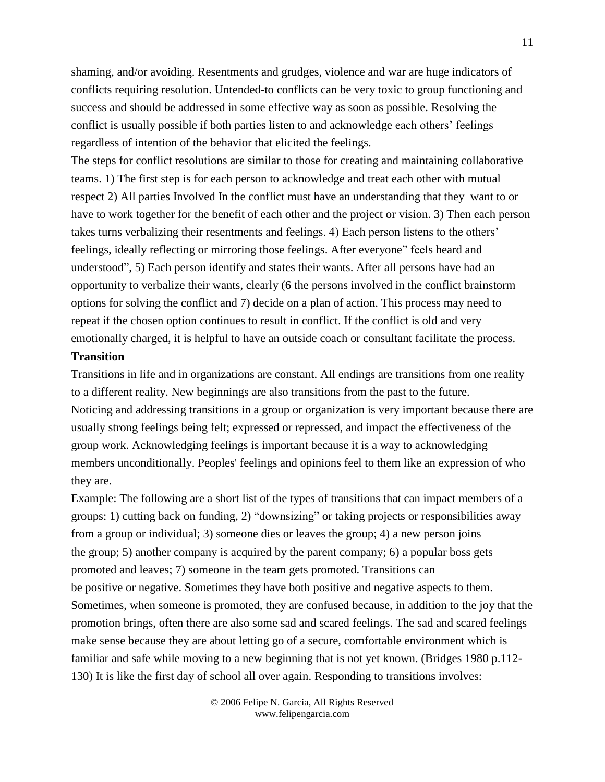shaming, and/or avoiding. Resentments and grudges, violence and war are huge indicators of conflicts requiring resolution. Untended-to conflicts can be very toxic to group functioning and success and should be addressed in some effective way as soon as possible. Resolving the conflict is usually possible if both parties listen to and acknowledge each others' feelings regardless of intention of the behavior that elicited the feelings.

The steps for conflict resolutions are similar to those for creating and maintaining collaborative teams. 1) The first step is for each person to acknowledge and treat each other with mutual respect 2) All parties Involved In the conflict must have an understanding that they want to or have to work together for the benefit of each other and the project or vision. 3) Then each person takes turns verbalizing their resentments and feelings. 4) Each person listens to the others' feelings, ideally reflecting or mirroring those feelings. After everyone" feels heard and understood", 5) Each person identify and states their wants. After all persons have had an opportunity to verbalize their wants, clearly (6 the persons involved in the conflict brainstorm options for solving the conflict and 7) decide on a plan of action. This process may need to repeat if the chosen option continues to result in conflict. If the conflict is old and very emotionally charged, it is helpful to have an outside coach or consultant facilitate the process.

# **Transition**

Transitions in life and in organizations are constant. All endings are transitions from one reality to a different reality. New beginnings are also transitions from the past to the future. Noticing and addressing transitions in a group or organization is very important because there are usually strong feelings being felt; expressed or repressed, and impact the effectiveness of the group work. Acknowledging feelings is important because it is a way to acknowledging members unconditionally. Peoples' feelings and opinions feel to them like an expression of who they are.

Example: The following are a short list of the types of transitions that can impact members of a groups: 1) cutting back on funding, 2) "downsizing" or taking projects or responsibilities away from a group or individual; 3) someone dies or leaves the group; 4) a new person joins the group; 5) another company is acquired by the parent company; 6) a popular boss gets promoted and leaves; 7) someone in the team gets promoted. Transitions can be positive or negative. Sometimes they have both positive and negative aspects to them. Sometimes, when someone is promoted, they are confused because, in addition to the joy that the promotion brings, often there are also some sad and scared feelings. The sad and scared feelings make sense because they are about letting go of a secure, comfortable environment which is familiar and safe while moving to a new beginning that is not yet known. (Bridges 1980 p.112- 130) It is like the first day of school all over again. Responding to transitions involves: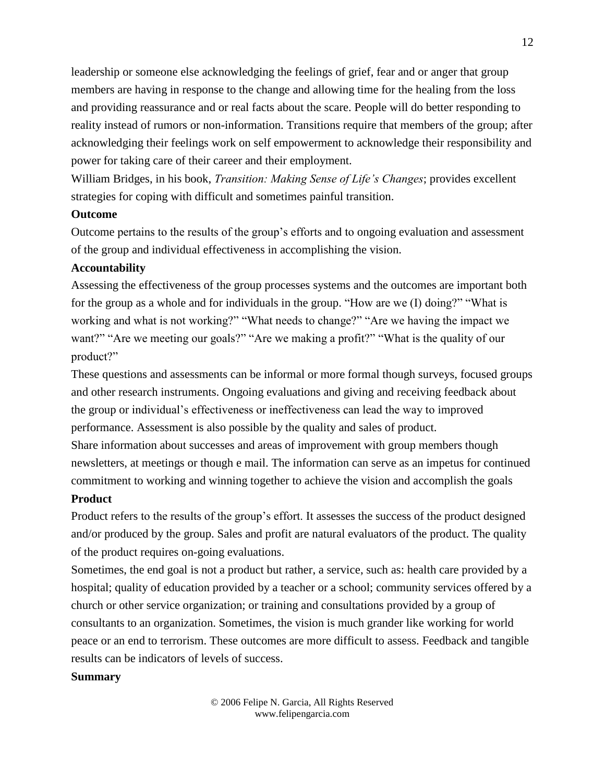leadership or someone else acknowledging the feelings of grief, fear and or anger that group members are having in response to the change and allowing time for the healing from the loss and providing reassurance and or real facts about the scare. People will do better responding to reality instead of rumors or non-information. Transitions require that members of the group; after acknowledging their feelings work on self empowerment to acknowledge their responsibility and power for taking care of their career and their employment.

William Bridges, in his book, *Transition: Making Sense of Life's Changes*; provides excellent strategies for coping with difficult and sometimes painful transition.

# **Outcome**

Outcome pertains to the results of the group's efforts and to ongoing evaluation and assessment of the group and individual effectiveness in accomplishing the vision.

## **Accountability**

Assessing the effectiveness of the group processes systems and the outcomes are important both for the group as a whole and for individuals in the group. "How are we (I) doing?" "What is working and what is not working?" "What needs to change?" "Are we having the impact we want?" "Are we meeting our goals?" "Are we making a profit?" "What is the quality of our product?"

These questions and assessments can be informal or more formal though surveys, focused groups and other research instruments. Ongoing evaluations and giving and receiving feedback about the group or individual's effectiveness or ineffectiveness can lead the way to improved performance. Assessment is also possible by the quality and sales of product.

Share information about successes and areas of improvement with group members though newsletters, at meetings or though e mail. The information can serve as an impetus for continued commitment to working and winning together to achieve the vision and accomplish the goals

# **Product**

Product refers to the results of the group's effort. It assesses the success of the product designed and/or produced by the group. Sales and profit are natural evaluators of the product. The quality of the product requires on-going evaluations.

Sometimes, the end goal is not a product but rather, a service, such as: health care provided by a hospital; quality of education provided by a teacher or a school; community services offered by a church or other service organization; or training and consultations provided by a group of consultants to an organization. Sometimes, the vision is much grander like working for world peace or an end to terrorism. These outcomes are more difficult to assess. Feedback and tangible results can be indicators of levels of success.

# **Summary**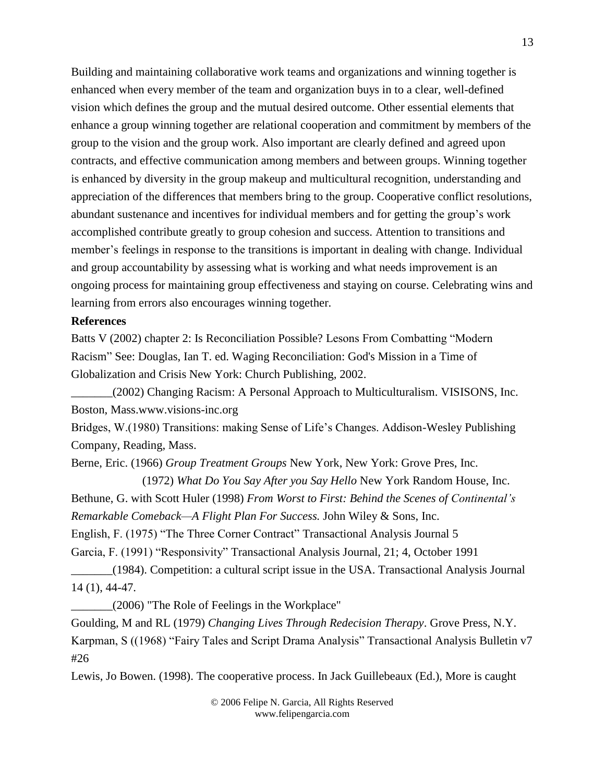Building and maintaining collaborative work teams and organizations and winning together is enhanced when every member of the team and organization buys in to a clear, well-defined vision which defines the group and the mutual desired outcome. Other essential elements that enhance a group winning together are relational cooperation and commitment by members of the group to the vision and the group work. Also important are clearly defined and agreed upon contracts, and effective communication among members and between groups. Winning together is enhanced by diversity in the group makeup and multicultural recognition, understanding and appreciation of the differences that members bring to the group. Cooperative conflict resolutions, abundant sustenance and incentives for individual members and for getting the group's work accomplished contribute greatly to group cohesion and success. Attention to transitions and member's feelings in response to the transitions is important in dealing with change. Individual and group accountability by assessing what is working and what needs improvement is an ongoing process for maintaining group effectiveness and staying on course. Celebrating wins and learning from errors also encourages winning together.

### **References**

Batts V (2002) chapter 2: Is Reconciliation Possible? Lesons From Combatting "Modern Racism" See: Douglas, Ian T. ed. Waging Reconciliation: God's Mission in a Time of Globalization and Crisis New York: Church Publishing, 2002.

\_\_\_\_\_\_\_(2002) Changing Racism: A Personal Approach to Multiculturalism. VISISONS, Inc. Boston, Mass.www.visions-inc.org

Bridges, W.(1980) Transitions: making Sense of Life's Changes. Addison-Wesley Publishing Company, Reading, Mass.

Berne, Eric. (1966) *Group Treatment Groups* New York, New York: Grove Pres, Inc.

(1972) *What Do You Say After you Say Hello* New York Random House, Inc. Bethune, G. with Scott Huler (1998) *From Worst to First: Behind the Scenes of Continental's Remarkable Comeback—A Flight Plan For Success.* John Wiley & Sons, Inc.

English, F. (1975) "The Three Corner Contract" Transactional Analysis Journal 5

Garcia, F. (1991) "Responsivity" Transactional Analysis Journal, 21; 4, October 1991

\_\_\_\_\_\_\_(1984). Competition: a cultural script issue in the USA. Transactional Analysis Journal 14 (1), 44-47.

\_\_\_\_\_\_\_(2006) "The Role of Feelings in the Workplace"

Goulding, M and RL (1979) *Changing Lives Through Redecision Therapy*. Grove Press, N.Y. Karpman, S ((1968) "Fairy Tales and Script Drama Analysis" Transactional Analysis Bulletin v7 #26

Lewis, Jo Bowen. (1998). The cooperative process. In Jack Guillebeaux (Ed.), More is caught